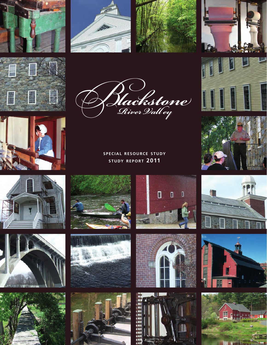































**SPECIAL RESOURCE STUDY STUDY REPORT 2011**









 $\overline{\mathsf{d}}$ 

 $\mathbf{u}$ 

 $\overline{0}$ 

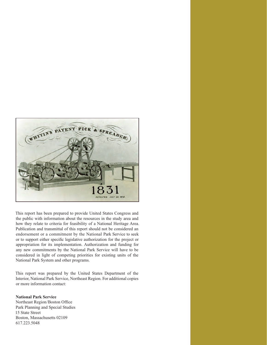

This report has been prepared to provide United States Congress and the public with information about the resources in the study area and how they relate to criteria for feasibility of a National Heritage Area. Publication and transmittal of this report should not be considered an endorsement or a commitment by the National Park Service to seek or to support either specific legislative authorization for the project or appropriation for its implementation. Authorization and funding for any new commitments by the National Park Service will have to be considered in light of competing priorities for existing units of the National Park System and other programs.

This report was prepared by the United States Department of the Interior, National Park Service, Northeast Region. For additional copies or more information contact:

### **National Park Service**

Northeast Region/Boston Office Park Planning and Special Studies 15 State Street Boston, Massachusetts 02109 617.223.5048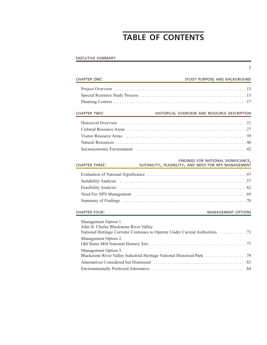# **TABLE OF CONTENTS**

5

# EXECUTIVE SUMMARY

| <b>CHAPTER ONE:</b>                                                                                            | STUDY PURPOSE AND BACKGROUND                                                                 |
|----------------------------------------------------------------------------------------------------------------|----------------------------------------------------------------------------------------------|
|                                                                                                                |                                                                                              |
| <b>CHAPTER TWO:</b>                                                                                            | HISTORICAL OVERVIEW AND RESOURCE DESCRIPTION                                                 |
|                                                                                                                |                                                                                              |
| <b>CHAPTER THREE:</b>                                                                                          | FINDINGS FOR NATIONAL SIGNIFICANCE,<br>SUITABILITY, FEASIBILITY, AND NEED FOR NPS MANAGEMENT |
|                                                                                                                |                                                                                              |
| <b>CHAPTER FOUR:</b>                                                                                           | <b>MANAGEMENT OPTIONS</b>                                                                    |
| Management Option 1.<br>John H. Chafee Blackstone River Valley<br>Management Option 2.<br>Management Option 3. |                                                                                              |